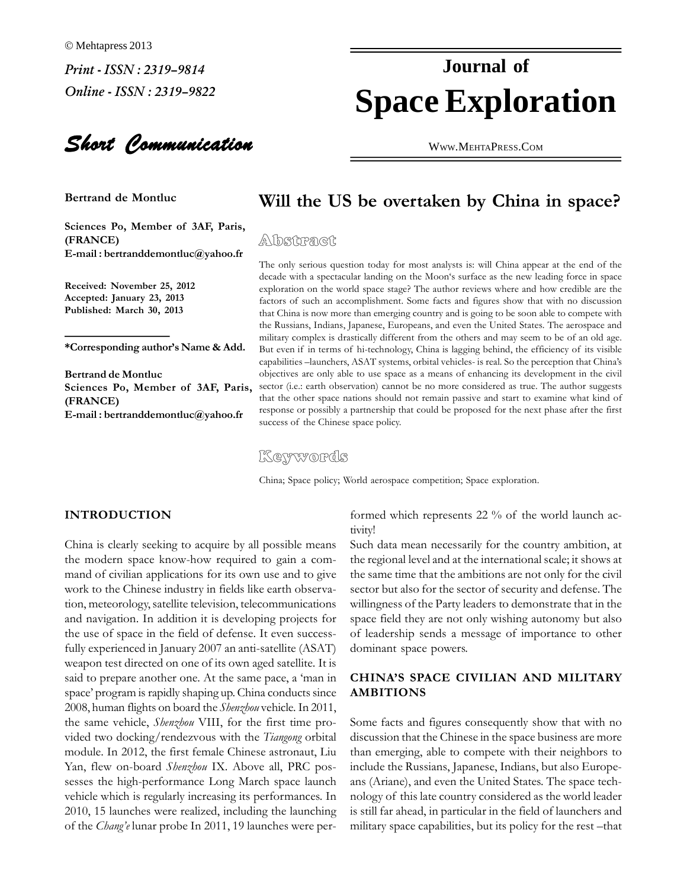Short Communication

**Sciences Po, Member of 3AF, Paris, (FRANCE) (FRANCE)**<br>**E-mail:bertranddemontluc@yahoo.fr** 

 **November 25, <sup>2012</sup> Accepted: January 23, <sup>2013</sup> Published: March 30, <sup>2013</sup>**

the Kus<br>military<br>**author's Name & Add.** But eva **Bertrand**

**Bertrand de Montluc**  $Po$ , Member of 3AF, Paris, **(FRANCE) : bertranddemontluc@yahoo.fr**

### **Space Exploration Journal of**

WWW.M[EHTA](http://WWW.MEHTAPRESS.COM)PRESS.COM

### **the US** be overtaken by China in space?

 $\sim$  leads and  $\sim$  conducts to the most analysts is: will China appear at the end of the decade of the decade  $\sim$ ly serious question today for most analysts is: will China appear at the end of the<br>with a spectacular landing on the Moon's surface as the new leading force in space decade with a spectacular landing on the Moon's surface as the new leading force in space<br>exploration on the world space stage? The author reviews where and how credible are the exploration on the world space stage? The author reviews where and how credible are the factors of such an accomplishment. Some facts and figures show that with no discussion factors of such an accomplishment. Some facts and figures show that with no discussion<br>that China is now more than emerging country and is going to be soon able to compete with that China is now more than emerging country and is going to be soon able to compete with<br>the Russians, Indians, Japanese, Europeans, and even the United States. The aerospace and the Russians, Indians, Japanese, Europeans, and even the United States. The aerospace and military complex is drastically different from the others and may seem to be of an old age. But even if in terms of hi-technology, China is lagging behind, the efficiency of its visible<br>capabilities – launchers, ASAT systems, orbital vehicles- is real. So the perception that China's capabilities -launchers, ASAT systems, orbital vehicles- is real. So the perception that China's (i.e.: earth observation) cannot be no more considered as true. The author suggests that the other space nations should not remain passive and start to examine what kind of response that the other space nations should not remain passive and start to examine what kind of that the other space nations should not remain passive and start to examine what kind of response or possibly a partnership that could be proposed for the next phase after the first success of the Chinese space policy.

Keywords

China; Space policy; World aerospace competition; Space exploration.

### **INTRODUCTION**

tivity<br>China is clearly seeking to acquire by all possible means Such<br>the modern space know-how required to gain a comthe modern space know-how required to gain a command of civilian applications for its own use and to give work to the Chinese industry in fields like earth observa-<br>tion, meteorology, satellite television, telecommunications willi tion, meteorology, satellite television, telecommunications will<br>and navigation. In addition it is developing projects for spa and navigation. In addition it is developing projects for space<br>the use of space in the field of defense. It even successthe use of space in the field of defense. It even successfully experienced in January 2007 an anti-satellite (ASAT) said to prepare another one. At the same pace, a 'man in said to prepare another one. At the same pace, a 'man in CHI<br>space' program is rapidly shaping up. China conducts since AMI 2008, human flights on board the *Shenzhou* vehicle. In 2011, 2008, human flights on board the *Shenzhou* vehicle. In 2011, two docking/rendezvous with the *Tiangong* orbital distribution of the *Tiangong* orbital distribution vided two docking/rendezvous with the *Tiangong* orbital discuss<br>module. In 2012, the first female Chinese astronaut, Liu than e module. In 2012, the first female Chinese astronaut, Liu Yan, flew on-board Shenzhou IX. Above all, PRC posversion of the source campion can be seen any other has performance<br>sesses the high-performance Long March space launch ans (Any vehicle which is regularly increasing its performances. In vehicle which is regularly increasing its performances. In nolog<br>2010, 15 launches were realized, including the launching is still 2010, 15 launches were realized, including the launching<br>of the *Chang'e* lunar probe In 2011, 19 launches were per-

formed which represents 22 % of the world launch activity!

tivity!<br>Such data mean necessarily for the country ambition, at<br>the regional level and at the international scale: it shows at the regional level and at the international scale; it shows at the same time that the ambitions are not only for the civil the same time that the ambitions are not only for the civil<br>sector but also for the sector of security and defense. The sector but also for the sector of security and defense. The willingness of the Party leaders to demonstrate that in the<br>space field they are not only wishing autonomy but also space field they are not only wishing autonomy but also<br>of leadership sends a message of importance to other of leadership sends a messachonizant space powers. dominant space powers.

# **CHINA'S SPACE CIVILIAN AND MILITARY**

 facts and figures consequently show that with no discussion that the Chinese in the space business are more discussion that the Chinese in the space business are more<br>than emerging, able to compete with their neighbors to than emerging, able to compete with their neighbors to include the Russians. Japanese, Indians, but also Europeinclude the Russians, Japanese, Indians, but also Europeans (Ariane), and even the United States. The space techis still far ahead, in particular in the field of launchers and is still far ahead, in particular in the field of launchers and is still far ahead, in particular in the field of launchers and<br>military space capabilities, but its policy for the rest –that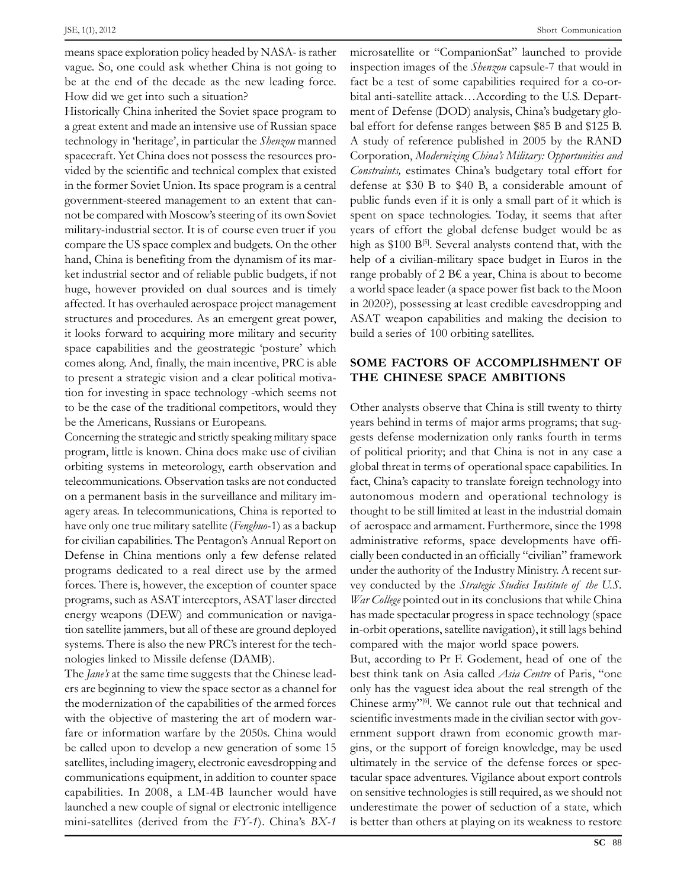JSE, 1(1), 2012<br>means space exploration policy headed by NASA- is rather micros<br>vague. So, one could ask whether China is not going to inspect be at the end of the decade as the new leading force. for the at the end of the decade as the new leading force. be at the end of the decade as the new leading force. How did we get into such a situation?

How did we get into such a situation?<br>
Historically China inherited the Soviet space program to ment of a great extent and made an intensive use of Russian space bal efform a great extent and made an intensive use of Russian space bal effection of the *Shenzou* manned A student spacecraft. Yet China does not possess the resources prospacecraft. Yet China does not possess the resources provided by the scientific and technical complex that existed C<br>in the former Soviet Union. Its space program is a central in the former Soviet Union. Its space program is a central def<br>government-steered management to an extent that cangovernment-steered management to an extent that canmot be compared with Moscow's steering of its own Soviet spent<br>military-industrial sector. It is of course even truer if you vears compared the US space complex and budgets. On the other high compare the US space complex and budgets. On the other high compare the US space complex and budgets. On the other highand, China is benefiting from the dynamism of its marhand, China is benefiting from the dynamism of its market industrial sector and of reliable public budgets, if not range<br>huge, however provided on dual sources and is timely a wor huge, however provided on dual sources and is timely a w<br>affected. It has overhauled aerospace project management in structures and procedures. As an emergent great power, and procedures. As an emergent great power, A structures and procedures. As an emergent great power, it looks forward to acquiring more military and security build a<br>space capabilities and the geostrategic 'posture' which space capabilities and the geostrategic 'posture' which<br>comes along. And, finally, the main incentive, PRC is able  $SON$ to present a strategic vision and a clear political motiva-<br>to present a strategic vision and a clear political motivato present a strategic vision and a clear political motiva-<br>tion for investing in space technology -which seems not to be the case of the traditional competitors, would they Other to be the case of the traditional competitors, v<br>be the Americans. Russians or Europeans.

the strategic and strictly speaking military space<br>
program, little is known. China does make use of civilian<br>
of political ordinating are called and calculated by primary space of civilian of political program, little is known. China does make use of civilian of political orbiting systems in meteorology, earth observation and plobal referred in the systems in meteorology, earth observation and global telecommunications. Observation tasks are not conducted fact. C relection and the survey of the survey of the survey of the survey of the survey of the survey of the survey of the survey of the survey of the survey of the survey of the survey of the survey of the survey of the survey o on a permanent basis in the surveillance and military imhave only one true military satellite (*Fenghuo*-1) as a backup of aero for civilian capabilities. The Pentagon's Annual Report on adminitory civilian capabilities. The Pentagon's Annual Report on adminitory for civilian capabilities. The Pentagon's Annual Report on admini-<br>Defense in China mentions only a few defense related cially b programs dedicated to a real direct use by the armed under the programs dedicated to a real direct use by the armed under programs dedicated to a real direct use by the armed unde<br>forces. There is, however, the exception of counter space vev c programs, such as ASAT interception of counter space vey corresponds, such as ASAT interceptors, ASAT laser directed *War Co* energy weapons (DEW) and communication or naviga-<br>energy weapons (DEW) and communication or navigation satellite jammers, but all of these are ground deployed in-orbit systems. There is also the new PRC's interest for the tech-<br>systems. There is also the new PRC's interest for the techsystems. There is also the new PRC's interest for the techsystems. There is also the new PRC's interest for the tech-<br>nologies linked to Missile defense (DAMB). But, according to Pr F. Godement, head of or

The *Jane's* at the same time suggests that the Chinese leadthe modernization of the capabilities of the armed forces Chinese with the modernization of the capabilities of the armed forces the modernization of the capabilities of the armed forces with the objective of mastering the art of modern warfare or information warfare by the 2050s. China would<br>be called upon to develop a new generation of some 15 gins. satellites, including imagery, electronic eavesdropping and ultimated stellites, including imagery, electronic eavesdropping and ultimated satellites, including imagery, electronic eavesdropping and ultim<br>communications equipment, in addition to counter space tacule communications equipment, in addition to counter space tacula<br>capabilities. In 2008, a LM-4B launcher would have on se  $\alpha$  capabilities. In 2008, a LM-4B launcher would have on sequenched a new couple of signal or electronic intelligence unde mini-satellites (derived from the *FY-1*). China's *BX-1* is bett

Short Communication<br>
microsatellite or "CompanionSat" launched to provide<br>
inspection images of the *Shenzou* capsule-7 that would in fact be a test of some capabilities required for a co-orfact be a test of some capabilities required for a co-orbital anti-satellite attack...According to the U.S. Department of Defense (DOD) analysis, China's budgetary global effort for defense ranges between \$85 B and \$125 B. Corporation, *Modernizing Chinaís Military: Opportunities and Constraints,* estimates Chinaís budgetary total effort for  $Constant_{\text{avg}}$  and  $t$  and  $t$  framework of constraints, estimates China's budgetary total effort for defense at \$30 B to \$40 B, a considerable amount of defense at \$30 B to \$40 B, a considerable amount of public funds even if it is only a small part of it which is public funds even if it is only a small part of it which is<br>spent on space technologies. Today, it seems that after spent on space technologies. Today, it seems that after<br>vears of effort the global defense budget would be as  $\mu$  as several and the semi-serger complex contend that are very very several analysts contend that, with the head is  $\frac{1}{2}$ . Several analysts contend that, with the high as \$100  $B^{[5]}$ . Several analysts contend that, with the help of a civilian-military space budget in Euros in the help of a civilian-military space budget in Euros in the range probably of  $2 B\epsilon$  a year. China is about to become range probably of  $2 \text{ } B\epsilon$  a year, China is about to become<br>a world space leader (a space power fist back to the Moon a world space leader (a space power fist back to the Moon<br>in 2020?), possessing at least credible eavesdropping and A NOELL SPILE CHARGE (as proven the discussion of the discussion of the decision of ASAT weapon capabilities and making the decision to ASAT weapon capabilities and making the<br>build a series of 100 orbiting satellites. build a series of 100 orbiting satellites.

# **FACTORS OF ACCOMPLISHMENT OF THE CHINESE SPACE AMBITIONS**

Other analysts observe that China is still twenty to thirty<br>years behind in terms of major arms programs; that sugyears behind in terms of major arms programs; that suggests defense modernization only ranks fourth in terms<br>of political priority; and that China is not in any case a global threat in terms of operational space capabilities. In also allohely threat in terms of operational space capabilities. In global threat in terms of operational space capabilities. In fact, China's capacity to translate foreign technology into and the contract of the contract of the contract of the capacity to translate foreign technology into autonomous modern and operational technology is autonomous modern and operational technology is<br>thought to be still limited at least in the industrial domain of aerospace and armament. Furthermore, since the 1998<br>of aerospace and armament. Furthermore, since the 1998 administrative reforms, space developments have offi-<br>administrative reforms, space developments have offiadministrative reforms, space developments have officially been conducted in an officially "civilian" framework ander the authority of the Industry Ministry. A recent survey conducted by the Strategic Studies Institute of the U.S.  $W$ ar College pointed out in its conclusions that while China<br>has made spectacular progress in space technology (space inas made spectacular progress in space technology (space<br>in-orbit operations, satellite navigation), it still lags behind in-orbit operations, satellite navigation), it still lags be<br>compared with the major world space powers.

compared with the major world space powers.<br>But, according to Pr F. Godement, head of one of the<br>best think tank on Asia called *Asia Centre* of Paris, "one best think tank on Asia called *Asia Centre* of Paris, "one<br>only has the vaguest idea about the real strength of the only has the vaguest idea about the real strength of the<br>Chinese army<sup>''[6]</sup>. We cannot rule out that technical and  $S_n$  Chinese army<sup> $n_{[6]}$ </sup>. We cannot rule out that technical and scientific investments made in the civilian sector with govscientific investments made in the civilian sector with government support drawn from economic growth marexamples of the support of foreign knowledge, may be used<br>ultimately in the service of the defense forces or specof the service of the defense forces or spectacular space adventures. Vigilance about export controls on sensitive technologies is still required, as we should not<br>on sensitive technologies is still required, as we should not on sensitive technologies is still required, as we should not underestimate the power of seduction of a state, which<br>is better than others at playing on its weakness to restore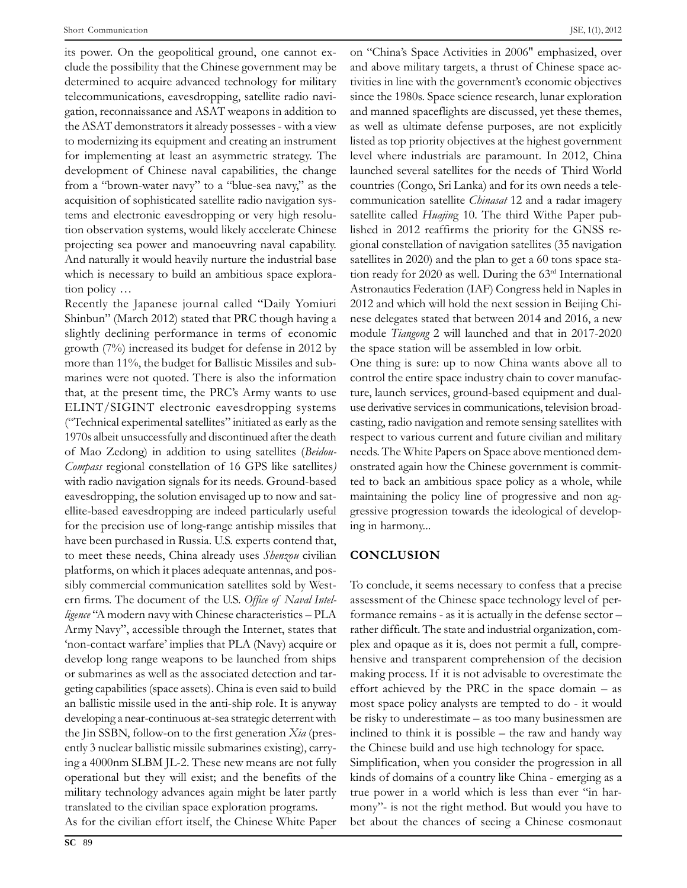Short Communication<br>https://www.communication<br>its power. On the geopolitical ground, one cannot exwer. On the geopolitical ground, one cannot ex-<br>the possibility that the Chinese government may be and a  $\frac{d}{dx}$  clude the possibility that the Chinese government may be and a determined to acquire advanced technology for military tivities there are processing that are summer governmentally seen and<br>determined to acquire advanced technology for military tivit telecommunications, eavesdropping, satellite radio naviextion, reconnaissance and ASAT weapons in addition to and mann<br>the ASAT demonstrators it already possesses - with a view as well as the ASAT demonstrators it already possesses - with a view as<br>to modernizing its equipment and creating an instrument list for implementing at least an asymmetric strategy. The level development of Chinese naval capabilities, the change launce<br>development of Chinese naval capabilities, the change launce development of Chinese naval capabilities, the change launce<br>from a "brown-water navy" to a "blue-sea navy," as the coun From a "brown-water navy" to a "blue-sea navy," as the condition of sophisticated satellite radio navigation sysacquisition of sophisticated satellite radio navigation sys-<br>tems and electronic eavesdropping or very high resolutems and electronic eavesdropping or very high resolu-<br>tion observation systems, would likely accelerate Chinese lished provide the contraction observation systems, would likely accelerate Chinese list projecting sea power and manoeuvring naval capability. projecting sea power and manoeuvring naval capability. And naturally it would heavily nurture the industrial base which is necessary to build an an tion policy  $\ldots$ 

tion policy ...<br>
Recently the Japanese journal called "Daily Yomiuri 2012<br>
Shinbun" (March 2012) stated that PRC though having a nese Shinbun" (March 2012) stated that PRC though having a nese<br>slightly declining performance in terms of economic mode slightly declining performance in terms of economic modus<br>growth (7%) increased its budget for defense in 2012 by the s growth  $(7%)$  increased its budget for defense in 2012 by the more than 11%, the budget for Ballistic Missiles and submore than 11%, the budget for Ballistic Missiles and subthat, at the present time, the PRC's Army wants to use ture. that, at the present time, the PRC's Army wants to use ture<br>ELINT/SIGINT electronic eavesdropping systems use ELINT/SIGINT electronic eavesdropping systems used<br>("Technical experimental satellites" initiated as early as the casting  $("Technical experimental satellites" initiated as early as the  $0.1970s$  albeit unsuccessful and discontinued after the death  $0.1970s$$ of Mao Zedong) in addition to using satellites (*Beidou*-<br>of Mao Zedong) in addition to using satellites (*Beidou*of Mao Zedong) in addition to using satellites (Beidou-Compass regional constellation of 16 GPS like satellites) eavesdropping, the solution envisaged up to now and sat-<br>eavesdropping, the solution envisaged up to now and sateavesdropping, the solution envisaged up to now and sat $f_1$  and  $f_2$  are experimentally useful and experimental experimental and  $f_1$  are expected by the precision use of long-range antiship missiles that in the precision use of long-range antiship missiles that Find the been purchased in Russia. U.S. experts contend that, the been purchased in Russia. U.S. experts contend that, for the precision use of long-range antiship missiles that ing in harmony...<br>have been purchased in Russia. U.S. experts contend that, to meet these needs, China already uses  $Sbenzow$  civilian  $CC$  platforms, on which it places adequate antennas, and posplatforms, on which it places adequate antennas, and possibly commercial communication satellites sold by Westerry commercial communications interacted by the control of the U.S. Office of Naval Intel-<br>*ligence* "A modern navy with Chinese characteristics – PLA formance *ligence* "A modern navy with Chinese characteristics – PLA for form Navy", accessible through the Internet, states that Framy Navy", accessible through the Internet, states that rather and rather from-contact warfare' implies that PLA (Navy) acquire or plex more contact warfare' implies that PLA (Navy) acquire or plex a<br>develop long range weapons to be launched from ships hensis develop long range weapons to be launched from ships her or submarines as well as the associated detection and taror submarines as well as the associated detection and targeting capabilities (space assets). China is even said to build effor<br>an ballistic missile used in the anti-ship role. It is anyway most an ballistic missile used in the anti-ship role. It is anyway most s<br>developing a near-continuous at-sea strategic deterrent with be risk the June of the Jin SSBN.<br>the Jin SSBN, follow-on to the first generation *Xia* (presthe Jin SSBN, follow-on to the first generation Xia (presend and the state in the control of the second the control of the control of the control of a 4000nm SLBM IL-2. These new means are not fully Simp  $\frac{1}{2}$  a 4000nm SLBM JL-2. These new means are not fully Simp<br>operational but they will exist; and the benefits of the kinds operational but they will exist; and the benefits of the kinds<br>military technology advances again might be later partly true military technology advances again might be later partly<br>translated to the civilian space exploration programs.

<sup>JSE, 1(1), 2012</sup><br>
on "China's Space Activities in 2006" emphasized, over<br>
and above military targets, a thrust of Chinese space acand above military targets, a thrust of Chinese space activities in line with the government's economic objectives since the 1980s. Space science research, lunar exploration<br>since the 1980s. Space science research, lunar exploration since the 1980s. Space science research, lunar exploration<br>and manned spaceflights are discussed, yet these themes. and manned spaceflights are discussed, yet these themes, as well as ultimate defense purposes, are not explicitly<br>listed as top priority objectives at the highest government  $\frac{1}{2}$  listed as top priority objectives at the highest government<br>level where industrials are paramount. In 2012, China laved as top process of process at the inguiting several satellites for the needs of Third World  $\frac{1}{2}$  launched several satellites for the needs of Third World countries (Congo, Sri Lanka) and for its own needs a telecountries *(Congo, Sri Lanka)* and for its own needs a telecommunication satellite *Chinasat* 12 and a radar imagery<br>satellite called *Huajin*g 10. The third Withe Paper pubsatellite called  $Huajing$  10. The third Withe Paper pub-<br>lished in 2012 reaffirms the priority for the GNSS relished in 2012 reaffirms the priority for the GNSS re- $\frac{1}{2}$  gional constellation of navigation satellites (35 navigation satellites in 2020) and the plan to get a 60 tons space stasatellites in 2020) and the plan to get a 60 tons space sta-<br>tion ready for 2020 as well. During the  $63<sup>rd</sup>$  International tion ready for 2020 as well. During the  $63<sup>rd</sup>$  International<br>Astronautics Federation (IAF) Congress held in Naples in 2012 and which will hold the next session in Beijing Chi-<br>2012 and which will hold the next session in Beijing Chi-2012 and which will hold the next session in Beijing Chinese delegates stated that between 2014 and 2016, a new module *Tiangong* 2 will launched and that in 2017-202<br>the space station will be assembled in low orbit. the space station will be assembled in low orbit.

One thing is sure: up to now China wants above all to control the entire space industry chain to cover manufac-Find services, ground-based equipment and dual-<br>ture, launch services, ground-based equipment and dualture, launch services, ground-based equipment and dualuse derivative services in communications, television broadrespect to various current and future civilian and military<br>respect to various current and future civilian and military needs. The White Papers on Space above mentioned dem-<br>needs. The White Papers on Space above mentioned demneeds. The White Papers on Space above mentioned demonstrated again how the Chinese government is commit-<br>ted to back an ambitious space policy as a whole, while ted to back an ambitious space policy as a whole, while<br>maintaining the policy line of progressive and non agmaintaining the policy line of progressive and non aggressive progression<br>ing in harmony... **C** 

### **CONCLUSION**

To conclude, it seems necessary to confess that a precise<br>assessment of the Chinese space technology level of perassessment of the Chinese space technology level of per- $\frac{1}{2}$  formance remains - as it is actually in the defense sector – rather difficult. The state and industrial organization, comrather difficult. The state and industrial organization, complex and opaque as it is, does not permit a full, compremaking process. If it is not advisable to overestimate the effort achieved by the PRC in the space domain – as<br>effort achieved by the PRC in the space domain – as effort achieved by the PRC in the space domain  $-$  as<br>most space policy analysts are tempted to do - it would  $\frac{1}{100}$  most space policy analysts are tempted to do - it would<br>be risky to underestimate – as too many businessmen are be risky to underestimate – as too many businessmen are<br>inclined to think it is possible – the raw and handy way  $t$  inclined to think it is possible – the raw and handy way the Chinese build and use high technology for space. the Chinese build and use high technology for space.

translated to the civilian space exploration programs. mony"- is not the right method. But would you have to As for the civilian effort itself, the Chinese White Paper bet about the chances of seeing a Chinese cosmonaut  $k$ implification, when you consider the progression in all kinds of domains of a country like China - emerging as a  $\frac{1}{1+\epsilon}$  is a set of domains of a country like China - emerging as a true power in a world which is less than ever "in hartrue power in a world which is less than ever "in har $b^2$  is not the right method. But would you have to bet about the chances of seeing a Chinese cosmonaut